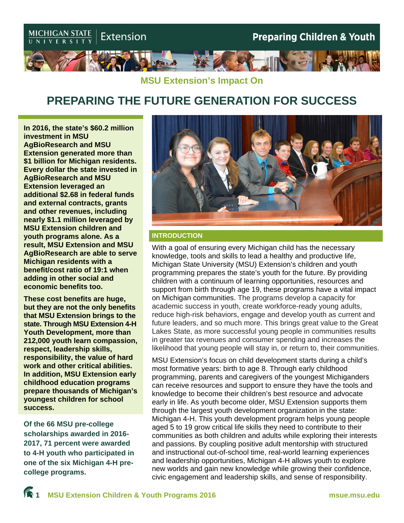

## **MSU Extension's Impact On**

## **PREPARING THE FUTURE GENERATION FOR SUCCESS**

**In 2016, the state's \$60.2 million investment in MSU AgBioResearch and MSU Extension generated more than \$1 billion for Michigan residents. Every dollar the state invested in AgBioResearch and MSU Extension leveraged an additional \$2.68 in federal funds and external contracts, grants and other revenues, including nearly \$1.1 million leveraged by MSU Extension children and youth programs alone. As a result, MSU Extension and MSU AgBioResearch are able to serve Michigan residents with a benefit/cost ratio of 19:1 when adding in other social and economic benefits too.**

**These cost benefits are huge, but they are not the only benefits that MSU Extension brings to the state. Through MSU Extension 4-H Youth Development, more than 212,000 youth learn compassion, respect, leadership skills, responsibility, the value of hard work and other critical abilities. In addition, MSU Extension early childhood education programs prepare thousands of Michigan's youngest children for school success.**

**Of the 66 MSU pre-college scholarships awarded in 2016- 2017, 71 percent were awarded to 4-H youth who participated in one of the six Michigan 4-H precollege programs.**



#### **INTRODUCTION**

With a goal of ensuring every Michigan child has the necessary knowledge, tools and skills to lead a healthy and productive life, Michigan State University (MSU) Extension's children and youth programming prepares the state's youth for the future. By providing children with a continuum of learning opportunities, resources and support from birth through age 19, these programs have a vital impact on Michigan communities. The programs develop a capacity for academic success in youth, create workforce-ready young adults, reduce high-risk behaviors, engage and develop youth as current and future leaders, and so much more. This brings great value to the Great Lakes State, as more successful young people in communities results in greater tax revenues and consumer spending and increases the likelihood that young people will stay in, or return to, their communities.

MSU Extension's focus on child development starts during a child's most formative years: birth to age 8. Through early childhood programming, parents and caregivers of the youngest Michiganders can receive resources and support to ensure they have the tools and knowledge to become their children's best resource and advocate early in life. As youth become older, MSU Extension supports them through the largest youth development organization in the state: Michigan 4-H. This youth development program helps young people aged 5 to 19 grow critical life skills they need to contribute to their communities as both children and adults while exploring their interests and passions. By coupling positive adult mentorship with structured and instructional out-of-school time, real-world learning experiences and leadership opportunities, Michigan 4-H allows youth to explore new worlds and gain new knowledge while growing their confidence, civic engagement and leadership skills, and sense of responsibility.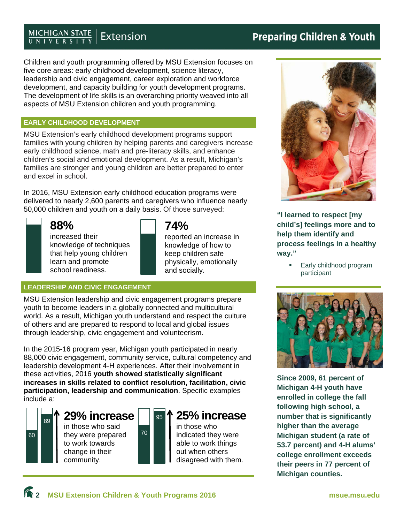#### **MICHIGAN STATE**<br>UNIVERSITY Extension

Children and youth programming offered by MSU Extension focuses on five core areas: early childhood development, science literacy, leadership and civic engagement, career exploration and workforce development, and capacity building for youth development programs. The development of life skills is an overarching priority weaved into all aspects of MSU Extension children and youth programming.

## **EARLY CHILDHOOD DEVELOPMENT**

MSU Extension's early childhood development programs support families with young children by helping parents and caregivers increase early childhood science, math and pre-literacy skills, and enhance children's social and emotional development. As a result, Michigan's families are stronger and young children are better prepared to enter and excel in school.

In 2016, MSU Extension early childhood education programs were delivered to nearly 2,600 parents and caregivers who influence nearly 50,000 children and youth on a daily basis. Of those surveyed:



## **88%**

increased their knowledge of techniques that help young children learn and promote school readiness.

## **74%**

reported an increase in knowledge of how to keep children safe physically, emotionally and socially.

## **LEADERSHIP AND CIVIC ENGAGEMENT**

MSU Extension leadership and civic engagement programs prepare youth to become leaders in a globally connected and multicultural world. As a result, Michigan youth understand and respect the culture of others and are prepared to respond to local and global issues through leadership, civic engagement and volunteerism.

In the 2015-16 program year, Michigan youth participated in nearly 88,000 civic engagement, community service, cultural competency and leadership development 4-H experiences. After their involvement in these activities, 2016 **youth showed statistically significant increases in skills related to conflict resolution, facilitation, civic participation, leadership and communication**. Specific examples include a:

70

# 60 89

## **29% increase**

in those who said they were prepared to work towards change in their community.

## <sup>95</sup> **25% increase**

in those who indicated they were able to work things out when others disagreed with them.



**"I learned to respect [my child's] feelings more and to help them identify and process feelings in a healthy way."** 

> Early childhood program participant



**Since 2009, 61 percent of Michigan 4-H youth have enrolled in college the fall following high school, a number that is significantly higher than the average Michigan student (a rate of 53.7 percent) and 4-H alums' college enrollment exceeds their peers in 77 percent of Michigan counties.**

**Preparing Children & Youth**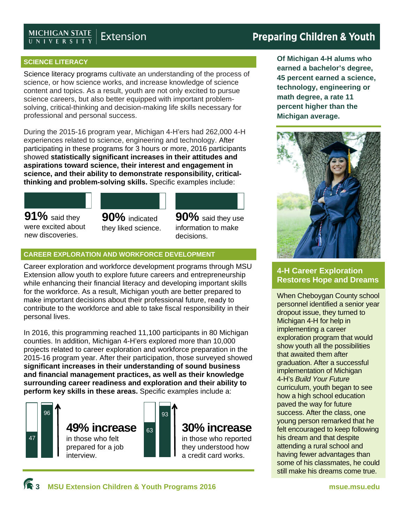## **MICHIGAN STATE**<br>UNIVERSITY Extension

## **Preparing Children & Youth**

## **SCIENCE LITERACY**

Science literacy programs cultivate an understanding of the process of science, or how science works, and increase knowledge of science content and topics. As a result, youth are not only excited to pursue science careers, but also better equipped with important problemsolving, critical-thinking and decision-making life skills necessary for professional and personal success.

During the 2015-16 program year, Michigan 4-H'ers had 262,000 4-H experiences related to science, engineering and technology. After participating in these programs for 3 hours or more, 2016 participants showed **statistically significant increases in their attitudes and aspirations toward science, their interest and engagement in science, and their ability to demonstrate responsibility, criticalthinking and problem-solving skills.** Specific examples include:

**91%** said they were excited about new discoveries.





## **CAREER EXPLORATION AND WORKFORCE DEVELOPMENT**

Career exploration and workforce development programs through MSU Extension allow youth to explore future careers and entrepreneurship while enhancing their financial literacy and developing important skills for the workforce. As a result, Michigan youth are better prepared to make important decisions about their professional future, ready to contribute to the workforce and able to take fiscal responsibility in their personal lives.

In 2016, this programming reached 11,100 participants in 80 Michigan counties. In addition, Michigan 4-H'ers explored more than 10,000 projects related to career exploration and workforce preparation in the 2015-16 program year. After their participation, those surveyed showed **significant increases in their understanding of sound business and financial management practices, as well as their knowledge surrounding career readiness and exploration and their ability to perform key skills in these areas.** Specific examples include a:



**Of Michigan 4-H alums who earned a bachelor's degree, 45 percent earned a science, technology, engineering or math degree, a rate 11 percent higher than the Michigan average.** 



## **4-H Career Exploration Restores Hope and Dreams**

When Cheboygan County school personnel identified a senior year dropout issue, they turned to Michigan 4-H for help in implementing a career exploration program that would show youth all the possibilities that awaited them after graduation. After a successful implementation of Michigan 4-H's *Build Your Future* curriculum, youth began to see how a high school education paved the way for future success. After the class, one young person remarked that he felt encouraged to keep following his dream and that despite attending a rural school and having fewer advantages than some of his classmates, he could still make his dreams come true.